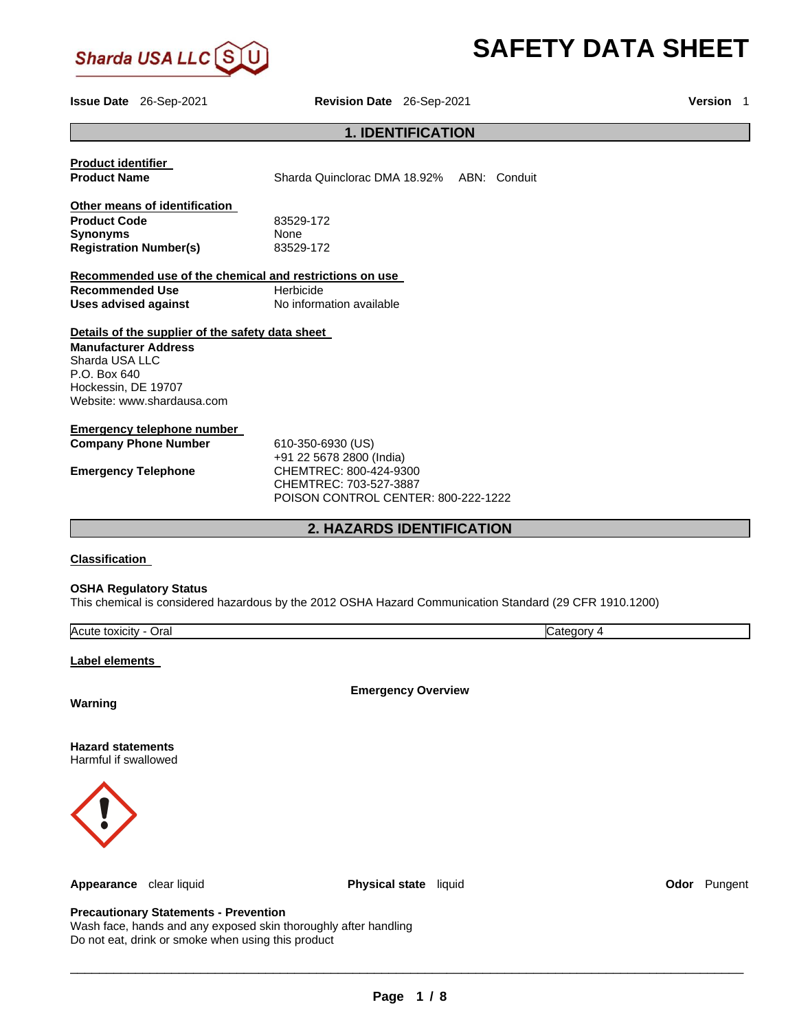

# **SAFETY DATA SHEET**

**Issue Date** 26-Sep-2021 **Revision Date** 26-Sep-2021 **Version** 1

# **1. IDENTIFICATION**

| <b>Product identifier</b><br><b>Product Name</b>                                                                                                                       | Sharda Quinclorac DMA 18.92% ABN: Conduit                                                                                                |
|------------------------------------------------------------------------------------------------------------------------------------------------------------------------|------------------------------------------------------------------------------------------------------------------------------------------|
| Other means of identification<br><b>Product Code</b><br><b>Synonyms</b><br><b>Registration Number(s)</b>                                                               | 83529-172<br>None<br>83529-172                                                                                                           |
| Recommended use of the chemical and restrictions on use                                                                                                                |                                                                                                                                          |
| <b>Recommended Use</b><br><b>Uses advised against</b>                                                                                                                  | Herbicide<br>No information available                                                                                                    |
| Details of the supplier of the safety data sheet<br><b>Manufacturer Address</b><br>Sharda USA LLC<br>P.O. Box 640<br>Hockessin, DE 19707<br>Website: www.shardausa.com |                                                                                                                                          |
| <b>Emergency telephone number</b><br><b>Company Phone Number</b><br><b>Emergency Telephone</b>                                                                         | 610-350-6930 (US)<br>+91 22 5678 2800 (India)<br>CHEMTREC: 800-424-9300<br>CHEMTREC: 703-527-3887<br>POISON CONTROL CENTER: 800-222-1222 |
|                                                                                                                                                                        | <b>2. HAZARDS IDENTIFICATION</b>                                                                                                         |
| <b>Classification</b><br><b>OSHA Regulatory Status</b>                                                                                                                 | This chemical is considered hazardous by the 2012 OSHA Hazard Communication Standard (29 CFR 1910.1200)                                  |
| Acute toxicity - Oral                                                                                                                                                  | Category 4                                                                                                                               |
|                                                                                                                                                                        |                                                                                                                                          |
| Label elements                                                                                                                                                         |                                                                                                                                          |
| Warning                                                                                                                                                                | <b>Emergency Overview</b>                                                                                                                |
| <b>Hazard statements</b><br>Harmful if swallowed                                                                                                                       |                                                                                                                                          |



**Appearance** clear liquid **Physical state** liquid **Odor** Pungent

# **Precautionary Statements - Prevention**

Wash face, hands and any exposed skin thoroughly after handling Do not eat, drink or smoke when using this product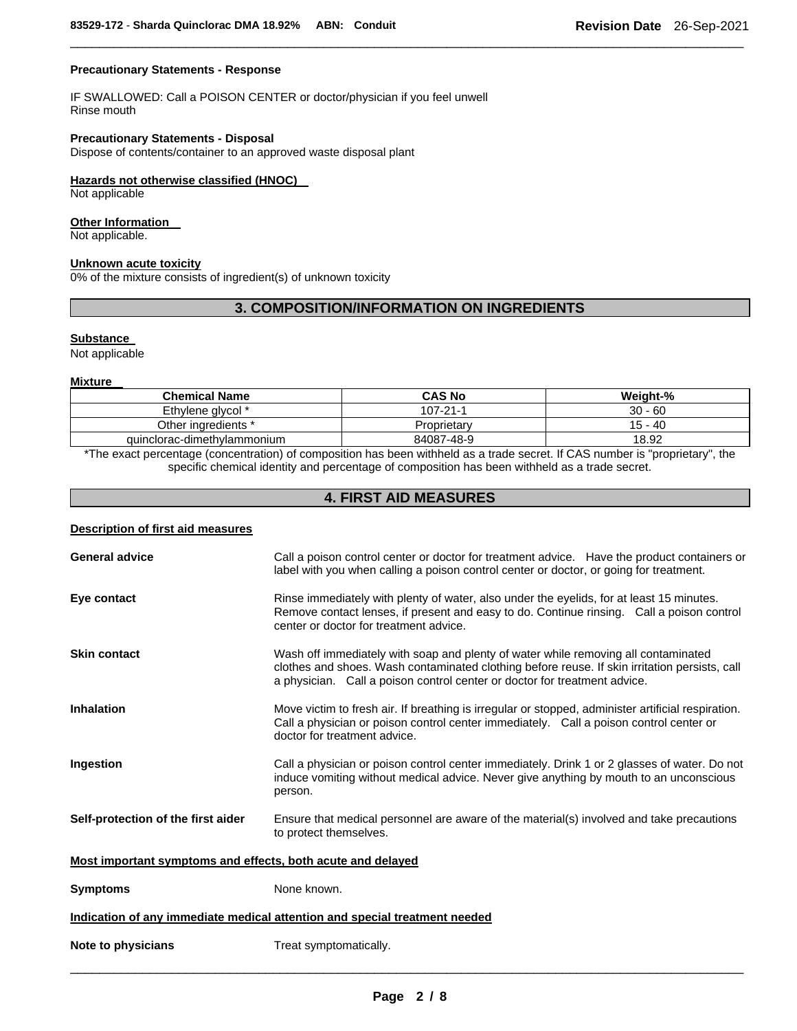# **Precautionary Statements - Response**

IF SWALLOWED: Call a POISON CENTER or doctor/physician if you feel unwell Rinse mouth

# **Precautionary Statements - Disposal**

Dispose of contents/container to an approved waste disposal plant

# **Hazards not otherwise classified (HNOC)**

Not applicable

## **Other Information**

Not applicable.

## **Unknown acute toxicity**

0% of the mixture consists of ingredient(s) of unknown toxicity

# **3. COMPOSITION/INFORMATION ON INGREDIENTS**

\_\_\_\_\_\_\_\_\_\_\_\_\_\_\_\_\_\_\_\_\_\_\_\_\_\_\_\_\_\_\_\_\_\_\_\_\_\_\_\_\_\_\_\_\_\_\_\_\_\_\_\_\_\_\_\_\_\_\_\_\_\_\_\_\_\_\_\_\_\_\_\_\_\_\_\_\_\_\_\_\_\_\_\_\_\_\_\_\_\_\_\_\_

#### **Substance**

Not applicable

#### **Mixture**

| <b>Chemical Name</b>        | <b>CAS No</b> | Weight-%  |
|-----------------------------|---------------|-----------|
| Ethylene glycol *           | 107-21-1      | $30 - 60$ |
| Other ingredients *         | Proprietary   | $15 - 40$ |
| quinclorac-dimethylammonium | 84087-48-9    | 18.92     |

\*The exact percentage (concentration) of composition has been withheld as a trade secret. If CAS number is "proprietary", the specific chemical identity and percentage of composition has been withheld as a trade secret.

# **4. FIRST AID MEASURES**

## **Description of first aid measures**

| <b>General advice</b>                                                      | Call a poison control center or doctor for treatment advice. Have the product containers or<br>label with you when calling a poison control center or doctor, or going for treatment.                                                                            |  |
|----------------------------------------------------------------------------|------------------------------------------------------------------------------------------------------------------------------------------------------------------------------------------------------------------------------------------------------------------|--|
| Eye contact                                                                | Rinse immediately with plenty of water, also under the eyelids, for at least 15 minutes.<br>Remove contact lenses, if present and easy to do. Continue rinsing. Call a poison control<br>center or doctor for treatment advice.                                  |  |
| <b>Skin contact</b>                                                        | Wash off immediately with soap and plenty of water while removing all contaminated<br>clothes and shoes. Wash contaminated clothing before reuse. If skin irritation persists, call<br>a physician. Call a poison control center or doctor for treatment advice. |  |
| <b>Inhalation</b>                                                          | Move victim to fresh air. If breathing is irregular or stopped, administer artificial respiration.<br>Call a physician or poison control center immediately. Call a poison control center or<br>doctor for treatment advice.                                     |  |
| <b>Ingestion</b>                                                           | Call a physician or poison control center immediately. Drink 1 or 2 glasses of water. Do not<br>induce vomiting without medical advice. Never give anything by mouth to an unconscious<br>person.                                                                |  |
| Self-protection of the first aider                                         | Ensure that medical personnel are aware of the material(s) involved and take precautions<br>to protect themselves.                                                                                                                                               |  |
| Most important symptoms and effects, both acute and delayed                |                                                                                                                                                                                                                                                                  |  |
| <b>Symptoms</b>                                                            | None known.                                                                                                                                                                                                                                                      |  |
| Indication of any immediate medical attention and special treatment needed |                                                                                                                                                                                                                                                                  |  |
| Note to physicians                                                         | Treat symptomatically.                                                                                                                                                                                                                                           |  |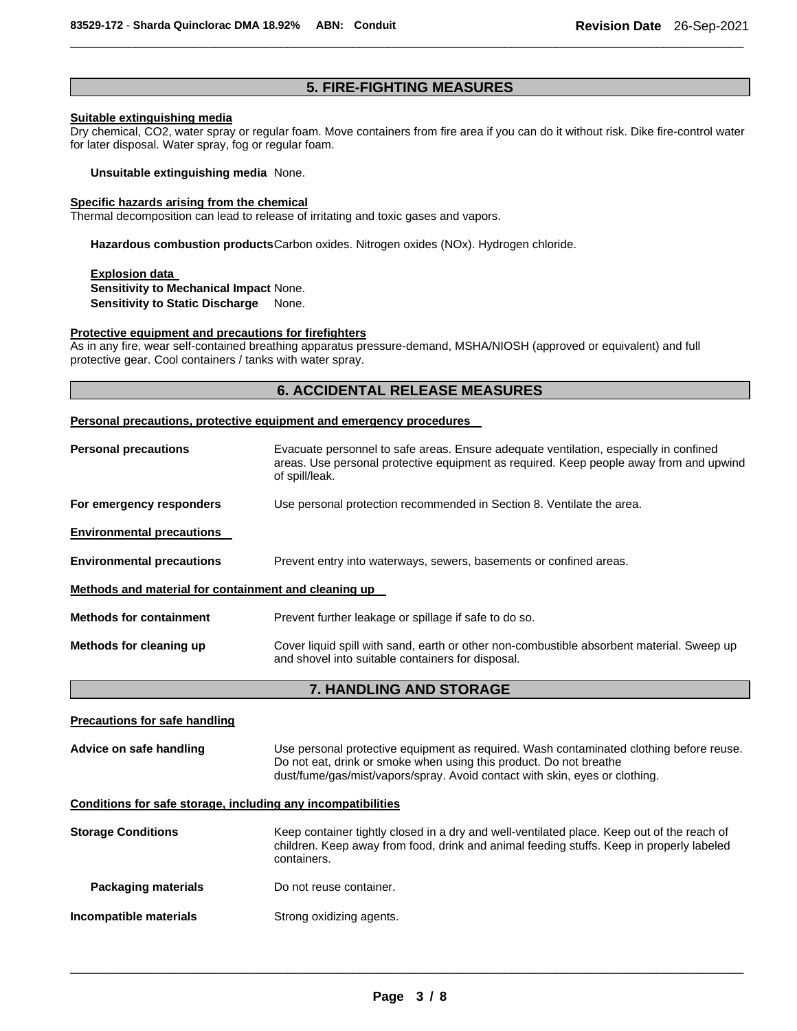# **5. FIRE-FIGHTING MEASURES**

\_\_\_\_\_\_\_\_\_\_\_\_\_\_\_\_\_\_\_\_\_\_\_\_\_\_\_\_\_\_\_\_\_\_\_\_\_\_\_\_\_\_\_\_\_\_\_\_\_\_\_\_\_\_\_\_\_\_\_\_\_\_\_\_\_\_\_\_\_\_\_\_\_\_\_\_\_\_\_\_\_\_\_\_\_\_\_\_\_\_\_\_\_

# **Suitable extinguishing media**

Dry chemical, CO2, water spray or regular foam. Move containers from fire area if you can do it without risk. Dike fire-control water for later disposal. Water spray, fog or regular foam.

**Unsuitable extinguishing media** None.

#### **Specific hazards arising from the chemical**

Thermal decomposition can lead to release of irritating and toxic gases and vapors.

**Hazardous combustion products** Carbon oxides. Nitrogen oxides (NOx). Hydrogen chloride.

**Explosion data Sensitivity to Mechanical Impact** None. **Sensitivity to Static Discharge** None.

## **Protective equipment and precautions for firefighters**

As in any fire, wear self-contained breathing apparatus pressure-demand, MSHA/NIOSH (approved or equivalent) and full protective gear. Cool containers / tanks with water spray.

# **6. ACCIDENTAL RELEASE MEASURES**

## **Personal precautions, protective equipment and emergency procedures**

| <b>Personal precautions</b>                          | Evacuate personnel to safe areas. Ensure adequate ventilation, especially in confined<br>areas. Use personal protective equipment as required. Keep people away from and upwind<br>of spill/leak. |  |
|------------------------------------------------------|---------------------------------------------------------------------------------------------------------------------------------------------------------------------------------------------------|--|
| For emergency responders                             | Use personal protection recommended in Section 8. Ventilate the area.                                                                                                                             |  |
| <b>Environmental precautions</b>                     |                                                                                                                                                                                                   |  |
| <b>Environmental precautions</b>                     | Prevent entry into waterways, sewers, basements or confined areas.                                                                                                                                |  |
| Methods and material for containment and cleaning up |                                                                                                                                                                                                   |  |
| <b>Methods for containment</b>                       | Prevent further leakage or spillage if safe to do so.                                                                                                                                             |  |
| Methods for cleaning up                              | Cover liquid spill with sand, earth or other non-combustible absorbent material. Sweep up<br>and shovel into suitable containers for disposal.                                                    |  |
| 7. HANDLING AND STORAGE                              |                                                                                                                                                                                                   |  |
| <b>Precautions for safe handling</b>                 |                                                                                                                                                                                                   |  |

**Advice on safe handling** Use personal protective equipment as required. Wash contaminated clothing before reuse. Do not eat, drink or smoke when using this product. Do not breathe dust/fume/gas/mist/vapors/spray. Avoid contact with skin, eyes or clothing.

## **Conditions for safe storage, including any incompatibilities**

| <b>Storage Conditions</b> | Keep container tightly closed in a dry and well-ventilated place. Keep out of the reach of<br>children. Keep away from food, drink and animal feeding stuffs. Keep in properly labeled<br>containers. |
|---------------------------|-------------------------------------------------------------------------------------------------------------------------------------------------------------------------------------------------------|
| Packaging materials       | Do not reuse container.                                                                                                                                                                               |
| Incompatible materials    | Strong oxidizing agents.                                                                                                                                                                              |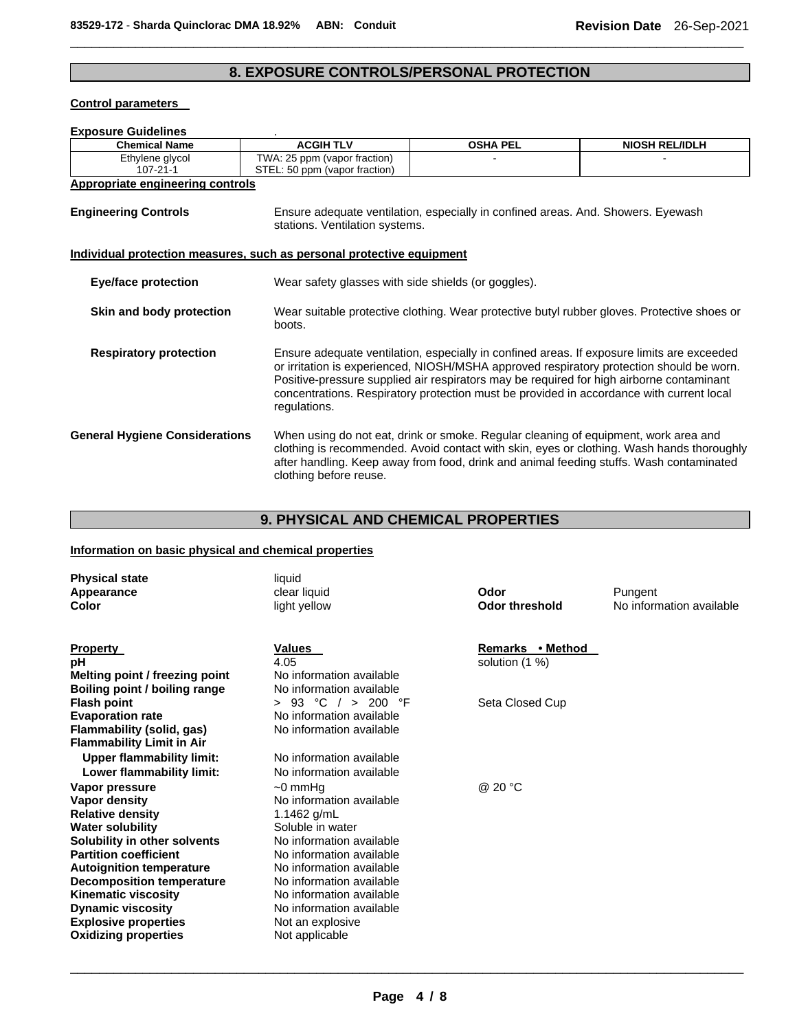# **8. EXPOSURE CONTROLS/PERSONAL PROTECTION**

\_\_\_\_\_\_\_\_\_\_\_\_\_\_\_\_\_\_\_\_\_\_\_\_\_\_\_\_\_\_\_\_\_\_\_\_\_\_\_\_\_\_\_\_\_\_\_\_\_\_\_\_\_\_\_\_\_\_\_\_\_\_\_\_\_\_\_\_\_\_\_\_\_\_\_\_\_\_\_\_\_\_\_\_\_\_\_\_\_\_\_\_\_

# **Control parameters**

# **Exposure Guidelines** .

| <b>Chemical Name</b>                                                         | <b>ACGIH TLV</b>                                              | <b>OSHA PEL</b>                                                                                                                                                                                                                                                                                                                                                                | <b>NIOSH REL/IDLH</b>                                                                     |  |
|------------------------------------------------------------------------------|---------------------------------------------------------------|--------------------------------------------------------------------------------------------------------------------------------------------------------------------------------------------------------------------------------------------------------------------------------------------------------------------------------------------------------------------------------|-------------------------------------------------------------------------------------------|--|
| Ethylene glycol<br>107-21-1                                                  | TWA: 25 ppm (vapor fraction)<br>STEL: 50 ppm (vapor fraction) |                                                                                                                                                                                                                                                                                                                                                                                |                                                                                           |  |
| Appropriate engineering controls                                             |                                                               |                                                                                                                                                                                                                                                                                                                                                                                |                                                                                           |  |
| <b>Engineering Controls</b>                                                  |                                                               | Ensure adequate ventilation, especially in confined areas. And. Showers. Eyewash<br>stations. Ventilation systems.                                                                                                                                                                                                                                                             |                                                                                           |  |
| <u>Individual protection measures, such as personal protective equipment</u> |                                                               |                                                                                                                                                                                                                                                                                                                                                                                |                                                                                           |  |
| <b>Eye/face protection</b>                                                   | Wear safety glasses with side shields (or goggles).           |                                                                                                                                                                                                                                                                                                                                                                                |                                                                                           |  |
| Skin and body protection                                                     | boots.                                                        | Wear suitable protective clothing. Wear protective butyl rubber gloves. Protective shoes or                                                                                                                                                                                                                                                                                    |                                                                                           |  |
| <b>Respiratory protection</b>                                                | regulations.                                                  | Ensure adequate ventilation, especially in confined areas. If exposure limits are exceeded<br>or irritation is experienced, NIOSH/MSHA approved respiratory protection should be worn.<br>Positive-pressure supplied air respirators may be required for high airborne contaminant<br>concentrations. Respiratory protection must be provided in accordance with current local |                                                                                           |  |
| <b>General Hygiene Considerations</b>                                        | clothing before reuse.                                        | When using do not eat, drink or smoke. Regular cleaning of equipment, work area and<br>after handling. Keep away from food, drink and animal feeding stuffs. Wash contaminated                                                                                                                                                                                                 | clothing is recommended. Avoid contact with skin, eyes or clothing. Wash hands thoroughly |  |

# **9. PHYSICAL AND CHEMICAL PROPERTIES**

# **Information on basic physical and chemical properties**

| <b>Physical state</b><br><b>Appearance</b><br>Color    | liquid<br>clear liquid<br>light yellow               | Odor<br><b>Odor threshold</b>      | Pungent<br>No information available |
|--------------------------------------------------------|------------------------------------------------------|------------------------------------|-------------------------------------|
| <b>Property</b><br>рH                                  | <b>Values</b><br>4.05                                | Remarks • Method<br>solution (1 %) |                                     |
| Melting point / freezing point                         | No information available                             |                                    |                                     |
| Boiling point / boiling range                          | No information available                             |                                    |                                     |
| <b>Flash point</b>                                     | 93 °C $/$<br>> 200<br>°F<br>$\geq$                   | Seta Closed Cup                    |                                     |
| <b>Evaporation rate</b>                                | No information available                             |                                    |                                     |
| <b>Flammability (solid, gas)</b>                       | No information available                             |                                    |                                     |
| <b>Flammability Limit in Air</b>                       |                                                      |                                    |                                     |
| <b>Upper flammability limit:</b>                       | No information available                             |                                    |                                     |
| Lower flammability limit:                              | No information available                             |                                    |                                     |
| Vapor pressure                                         | $\sim$ 0 mmHq                                        | @ 20 °C                            |                                     |
| Vapor density                                          | No information available                             |                                    |                                     |
| <b>Relative density</b>                                | 1.1462 g/mL                                          |                                    |                                     |
| <b>Water solubility</b>                                | Soluble in water                                     |                                    |                                     |
| Solubility in other solvents                           | No information available                             |                                    |                                     |
| <b>Partition coefficient</b>                           | No information available                             |                                    |                                     |
| <b>Autoignition temperature</b>                        | No information available                             |                                    |                                     |
| <b>Decomposition temperature</b>                       | No information available<br>No information available |                                    |                                     |
| <b>Kinematic viscosity</b><br><b>Dynamic viscosity</b> | No information available                             |                                    |                                     |
| <b>Explosive properties</b>                            | Not an explosive                                     |                                    |                                     |
| <b>Oxidizing properties</b>                            | Not applicable                                       |                                    |                                     |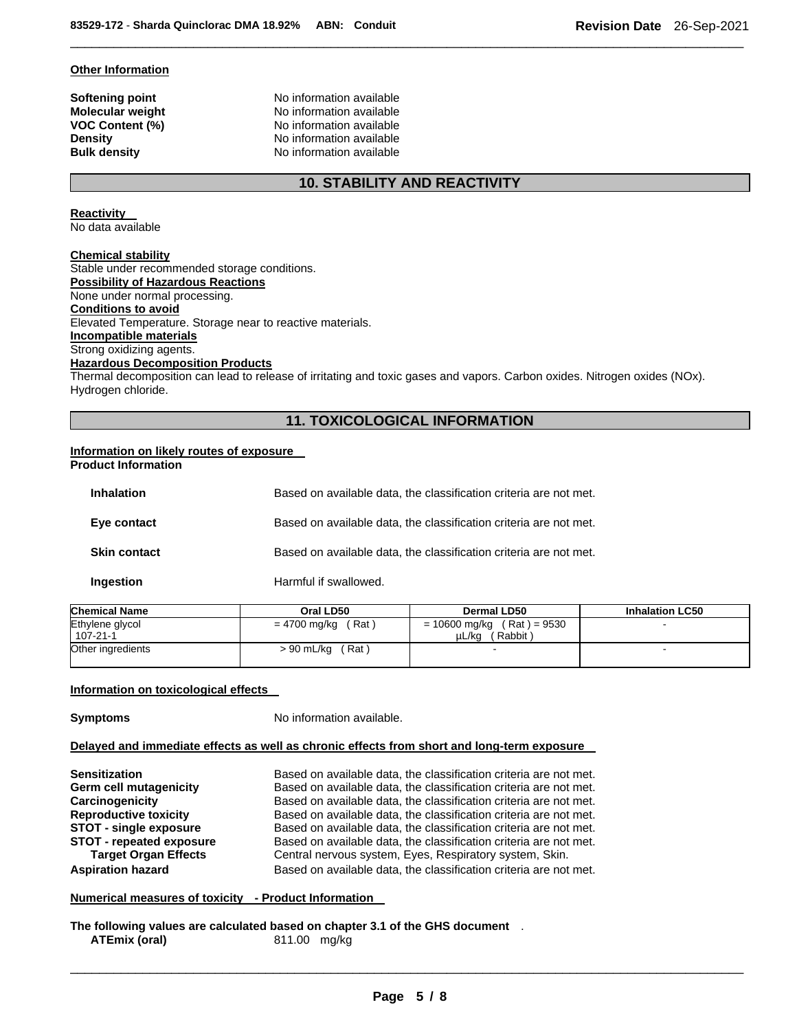#### **Other Information**

**Softening point** No information available **Molecular weight** No information available **VOC Content (%)** No information available **Density Density Density No information available Bulk density No information available No information available** 

# **10. STABILITY AND REACTIVITY**

\_\_\_\_\_\_\_\_\_\_\_\_\_\_\_\_\_\_\_\_\_\_\_\_\_\_\_\_\_\_\_\_\_\_\_\_\_\_\_\_\_\_\_\_\_\_\_\_\_\_\_\_\_\_\_\_\_\_\_\_\_\_\_\_\_\_\_\_\_\_\_\_\_\_\_\_\_\_\_\_\_\_\_\_\_\_\_\_\_\_\_\_\_

#### **Reactivity**  No data available

# **Chemical stability**

Stable under recommended storage conditions. **Possibility of Hazardous Reactions** None under normal processing. **Conditions to avoid** Elevated Temperature. Storage near to reactive materials. **Incompatible materials** Strong oxidizing agents. **Hazardous Decomposition Products**

Thermal decomposition can lead to release of irritating and toxic gases and vapors. Carbon oxides. Nitrogen oxides (NOx). Hydrogen chloride.

# **11. TOXICOLOGICAL INFORMATION**

#### **Information on likely routes of exposure Product Information**

| <b>Inhalation</b>   | Based on available data, the classification criteria are not met. |
|---------------------|-------------------------------------------------------------------|
| Eye contact         | Based on available data, the classification criteria are not met. |
| <b>Skin contact</b> | Based on available data, the classification criteria are not met. |
| Ingestion           | Harmful if swallowed.                                             |

| Chemical Name                     | Oral LD50             | Dermal LD50                                       | <b>Inhalation LC50</b> |
|-----------------------------------|-----------------------|---------------------------------------------------|------------------------|
| Ethylene glycol<br>$107 - 21 - 1$ | (Rat)<br>= 4700 mg/kg | $= 10600$ mg/kg (Rat) = 9530<br>(Rabbit)<br>uL/ka |                        |
| Other ingredients                 | (Rat ˈ<br>> 90 mL/kg  |                                                   |                        |

## **Information on toxicological effects**

**Symptoms** No information available.

# **Delayed and immediate effects as well as chronic effects from short and long-term exposure**

| <b>Sensitization</b>            | Based on available data, the classification criteria are not met. |
|---------------------------------|-------------------------------------------------------------------|
| Germ cell mutagenicity          | Based on available data, the classification criteria are not met. |
| Carcinogenicity                 | Based on available data, the classification criteria are not met. |
| <b>Reproductive toxicity</b>    | Based on available data, the classification criteria are not met. |
| <b>STOT - single exposure</b>   | Based on available data, the classification criteria are not met. |
| <b>STOT - repeated exposure</b> | Based on available data, the classification criteria are not met. |
| <b>Target Organ Effects</b>     | Central nervous system, Eyes, Respiratory system, Skin.           |
| <b>Aspiration hazard</b>        | Based on available data, the classification criteria are not met. |

**Numerical measures of toxicity - Product Information** 

**The following values are calculated based on chapter 3.1 of the GHS document** . **ATEmix (oral)** 811.00 mg/kg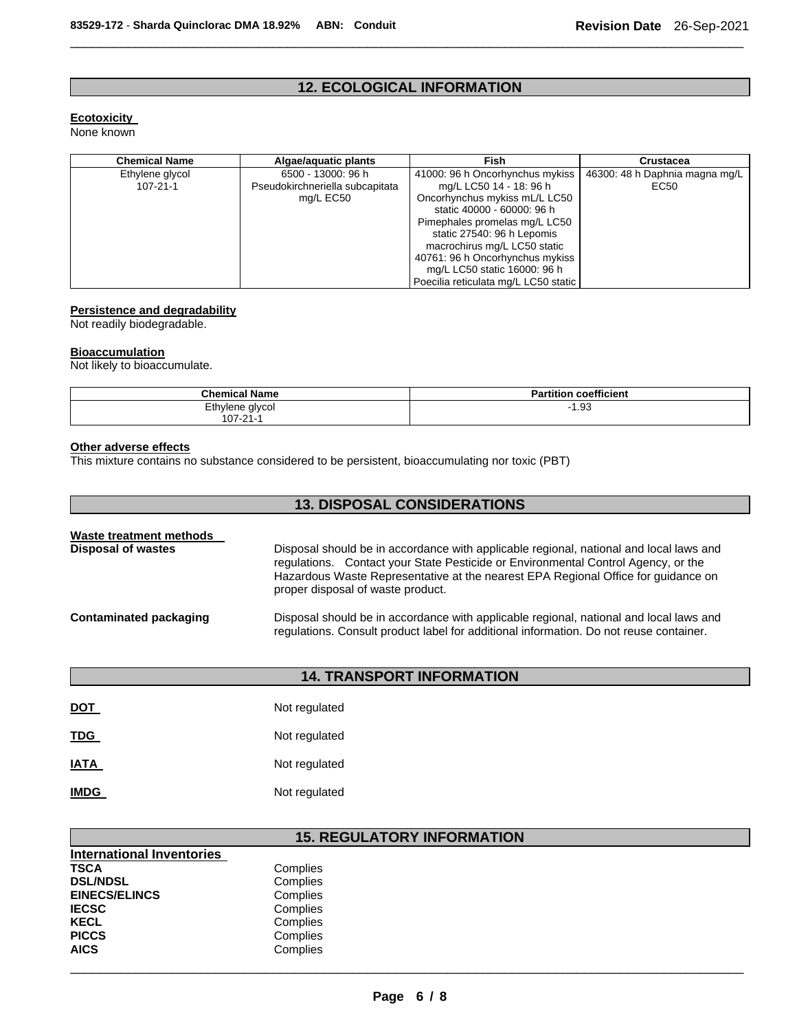# **12. ECOLOGICAL INFORMATION**

\_\_\_\_\_\_\_\_\_\_\_\_\_\_\_\_\_\_\_\_\_\_\_\_\_\_\_\_\_\_\_\_\_\_\_\_\_\_\_\_\_\_\_\_\_\_\_\_\_\_\_\_\_\_\_\_\_\_\_\_\_\_\_\_\_\_\_\_\_\_\_\_\_\_\_\_\_\_\_\_\_\_\_\_\_\_\_\_\_\_\_\_\_

# **Ecotoxicity**

None known

| <b>Chemical Name</b> | Algae/aguatic plants            | <b>Fish</b>                          | <b>Crustacea</b>               |
|----------------------|---------------------------------|--------------------------------------|--------------------------------|
| Ethylene glycol      | 6500 - 13000: 96 h              | 41000: 96 h Oncorhynchus mykiss      | 46300: 48 h Daphnia magna mg/L |
| $107 - 21 - 1$       | Pseudokirchneriella subcapitata | mg/L LC50 14 - 18: 96 h              | EC50                           |
|                      | mg/L EC50                       | Oncorhynchus mykiss mL/L LC50        |                                |
|                      |                                 | static 40000 - 60000: 96 h           |                                |
|                      |                                 | Pimephales promelas mg/L LC50        |                                |
|                      |                                 | static 27540: 96 h Lepomis           |                                |
|                      |                                 | macrochirus mg/L LC50 static         |                                |
|                      |                                 | 40761: 96 h Oncorhynchus mykiss      |                                |
|                      |                                 | mg/L LC50 static 16000: 96 h         |                                |
|                      |                                 | Poecilia reticulata mg/L LC50 static |                                |

# **Persistence and degradability**

Not readily biodegradable.

# **Bioaccumulation**

Not likely to bioaccumulate.

| <b>Chemical Name</b> | <b>Partition coefficient</b> |
|----------------------|------------------------------|
| Ethylene glycol      | 1.93<br>. .                  |
| 107-21-1             |                              |

#### **Other adverse effects**

This mixture contains no substance considered to be persistent, bioaccumulating nor toxic (PBT)

| <b>13. DISPOSAL CONSIDERATIONS</b>                   |                                                                                                                                                                                                                                                                                                       |  |
|------------------------------------------------------|-------------------------------------------------------------------------------------------------------------------------------------------------------------------------------------------------------------------------------------------------------------------------------------------------------|--|
| Waste treatment methods<br><b>Disposal of wastes</b> | Disposal should be in accordance with applicable regional, national and local laws and<br>regulations. Contact your State Pesticide or Environmental Control Agency, or the<br>Hazardous Waste Representative at the nearest EPA Regional Office for guidance on<br>proper disposal of waste product. |  |
| <b>Contaminated packaging</b>                        | Disposal should be in accordance with applicable regional, national and local laws and<br>regulations. Consult product label for additional information. Do not reuse container.                                                                                                                      |  |

# **14. TRANSPORT INFORMATION**

| <b>DOT</b>  | Not regulated |
|-------------|---------------|
| <b>TDG</b>  | Not regulated |
| <b>IATA</b> | Not regulated |
| <b>IMDG</b> | Not regulated |

# **15. REGULATORY INFORMATION**

| <b>International Inventories</b> |          |
|----------------------------------|----------|
| TSCA                             | Complies |
| <b>DSL/NDSL</b>                  | Complies |
| <b>EINECS/ELINCS</b>             | Complies |
| IECSC                            | Complies |
| KECL                             | Complies |
| <b>PICCS</b>                     | Complies |
| AICS                             | Complies |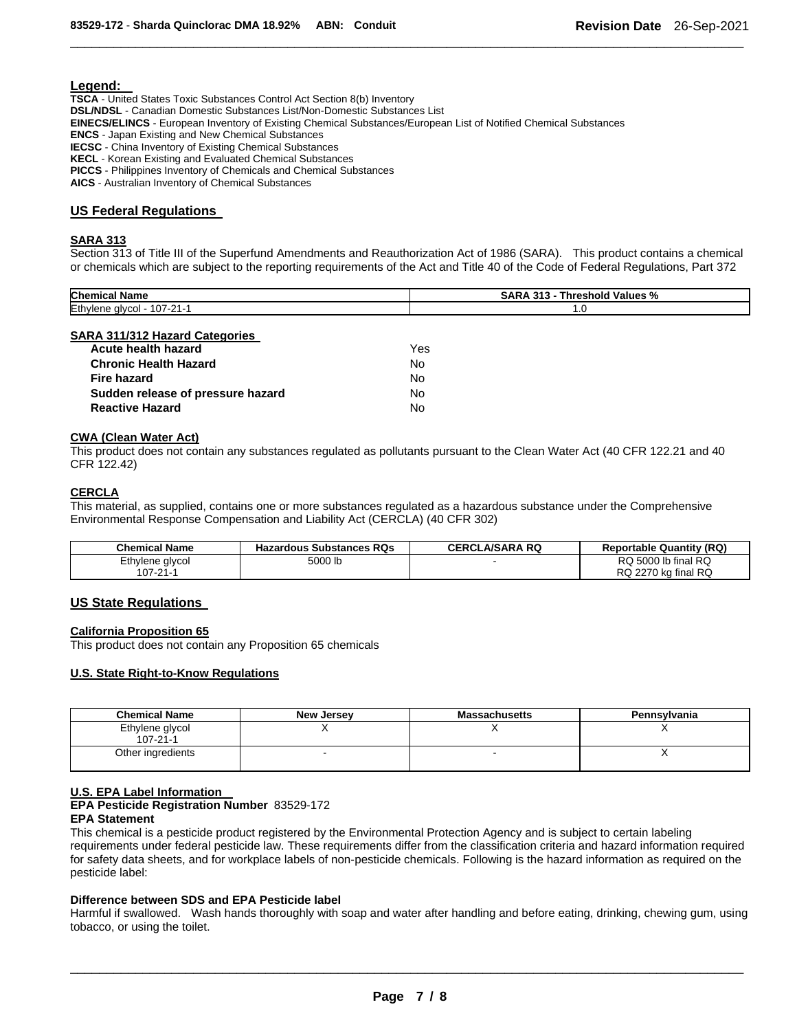## **Legend:**

**TSCA** - United States Toxic Substances Control Act Section 8(b) Inventory **DSL/NDSL** - Canadian Domestic Substances List/Non-Domestic Substances List **EINECS/ELINCS** - European Inventory of Existing Chemical Substances/European List of Notified Chemical Substances **ENCS** - Japan Existing and New Chemical Substances **IECSC** - China Inventory of Existing Chemical Substances **KECL** - Korean Existing and Evaluated Chemical Substances **PICCS** - Philippines Inventory of Chemicals and Chemical Substances

**AICS** - Australian Inventory of Chemical Substances

# **US Federal Regulations**

# **SARA 313**

Section 313 of Title III of the Superfund Amendments and Reauthorization Act of 1986 (SARA). This product contains a chemical or chemicals which are subject to the reporting requirements of the Act and Title 40 of the Code of Federal Regulations, Part 372

\_\_\_\_\_\_\_\_\_\_\_\_\_\_\_\_\_\_\_\_\_\_\_\_\_\_\_\_\_\_\_\_\_\_\_\_\_\_\_\_\_\_\_\_\_\_\_\_\_\_\_\_\_\_\_\_\_\_\_\_\_\_\_\_\_\_\_\_\_\_\_\_\_\_\_\_\_\_\_\_\_\_\_\_\_\_\_\_\_\_\_\_\_

| Chemical<br>. .<br>Name              | <b>SARA</b><br>%<br><b>242</b><br>Values<br><b>Threshold</b> |
|--------------------------------------|--------------------------------------------------------------|
| Ethylene<br>$107 - 21 - 1$<br>alvcol | <b></b> U                                                    |

## **SARA 311/312 Hazard Categories**

| Acute health hazard               | Yes. |
|-----------------------------------|------|
| <b>Chronic Health Hazard</b>      | No.  |
| Fire hazard                       | No.  |
| Sudden release of pressure hazard | No.  |
| <b>Reactive Hazard</b>            | N٥   |

## **CWA (Clean Water Act)**

This product does not contain any substances regulated as pollutants pursuant to the Clean Water Act (40 CFR 122.21 and 40 CFR 122.42)

## **CERCLA**

This material, as supplied, contains one or more substances regulated as a hazardous substance under the Comprehensive Environmental Response Compensation and Liability Act (CERCLA) (40 CFR 302)

| <b>Chemical Name</b> | Hazardous Substances RQs | <b>CERCLA/SARA RQ</b> | <b>Reportable Quantity (RQ)</b> |
|----------------------|--------------------------|-----------------------|---------------------------------|
| Ethylene glycol      | 5000 lb                  |                       | RQ 5000 lb final RQ             |
| 107-21-1             |                          |                       | RQ 2270 kg final RQ             |

## **US State Regulations**

## **California Proposition 65**

This product does not contain any Proposition 65 chemicals

# **U.S. State Right-to-Know Regulations**

| <b>Chemical Name</b>              | <b>New Jersey</b> | <b>Massachusetts</b> | Pennsylvania |
|-----------------------------------|-------------------|----------------------|--------------|
| Ethylene glycol<br>$107 - 21 - 1$ |                   |                      |              |
| Other ingredients                 |                   |                      |              |

## **U.S. EPA Label Information**

**EPA Pesticide Registration Number** 83529-172

## **EPA Statement**

This chemical is a pesticide product registered by the Environmental Protection Agency and is subject to certain labeling requirements under federal pesticide law. These requirements differ from the classification criteria and hazard information required for safety data sheets, and for workplace labels of non-pesticide chemicals. Following is the hazard information as required on the pesticide label:

# **Difference between SDS and EPA Pesticide label**

Harmful if swallowed. Wash hands thoroughly with soap and water after handling and before eating, drinking, chewing gum, using tobacco, or using the toilet.